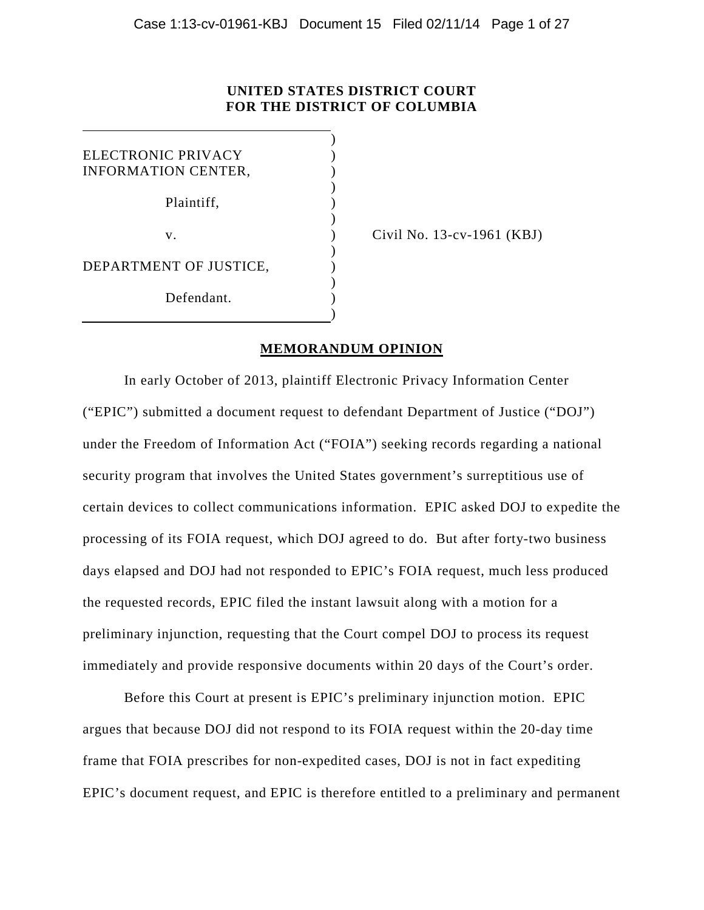# **UNITED STATES DISTRICT COURT FOR THE DISTRICT OF COLUMBIA**

)

)

)

)

| ELECTRONIC PRIVACY<br><b>INFORMATION CENTER,</b> |  |
|--------------------------------------------------|--|
| Plaintiff,                                       |  |
| V.                                               |  |
| DEPARTMENT OF JUSTICE,                           |  |
| Defendant.                                       |  |

 $\text{Civil No. 13-cv-1961 (KBJ)}$ 

# **MEMORANDUM OPINION**

In early October of 2013, plaintiff Electronic Privacy Information Center ("EPIC") submitted a document request to defendant Department of Justice ("DOJ") under the Freedom of Information Act ("FOIA") seeking records regarding a national security program that involves the United States government's surreptitious use of certain devices to collect communications information. EPIC asked DOJ to expedite the processing of its FOIA request, which DOJ agreed to do. But after forty-two business days elapsed and DOJ had not responded to EPIC's FOIA request, much less produced the requested records, EPIC filed the instant lawsuit along with a motion for a preliminary injunction, requesting that the Court compel DOJ to process its request immediately and provide responsive documents within 20 days of the Court's order.

Before this Court at present is EPIC's preliminary injunction motion. EPIC argues that because DOJ did not respond to its FOIA request within the 20-day time frame that FOIA prescribes for non-expedited cases, DOJ is not in fact expediting EPIC's document request, and EPIC is therefore entitled to a preliminary and permanent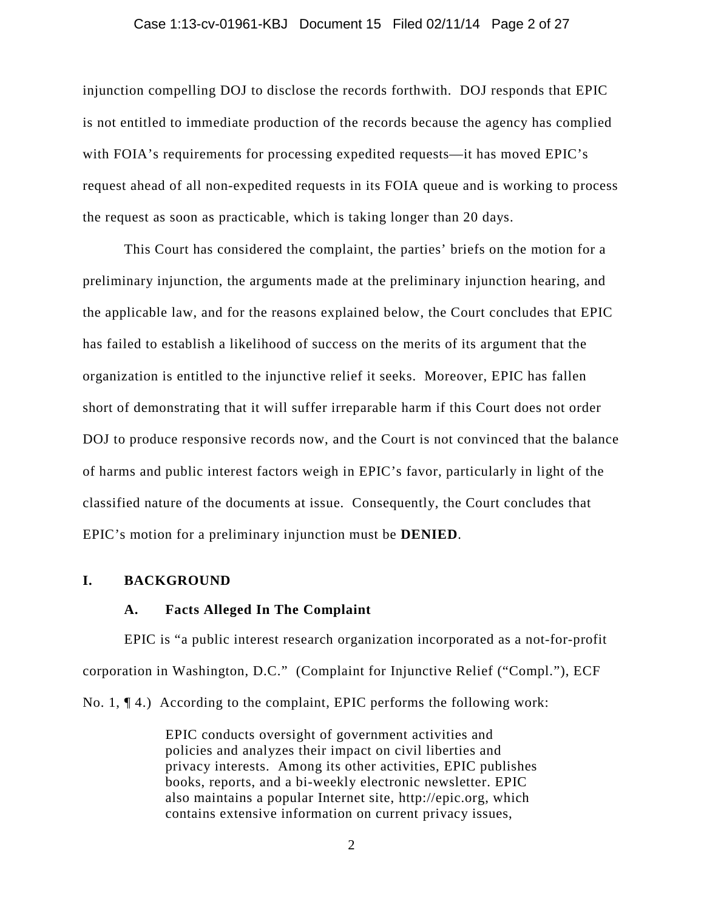#### Case 1:13-cv-01961-KBJ Document 15 Filed 02/11/14 Page 2 of 27

injunction compelling DOJ to disclose the records forthwith. DOJ responds that EPIC is not entitled to immediate production of the records because the agency has complied with FOIA's requirements for processing expedited requests—it has moved EPIC's request ahead of all non-expedited requests in its FOIA queue and is working to process the request as soon as practicable, which is taking longer than 20 days.

This Court has considered the complaint, the parties' briefs on the motion for a preliminary injunction, the arguments made at the preliminary injunction hearing, and the applicable law, and for the reasons explained below, the Court concludes that EPIC has failed to establish a likelihood of success on the merits of its argument that the organization is entitled to the injunctive relief it seeks. Moreover, EPIC has fallen short of demonstrating that it will suffer irreparable harm if this Court does not order DOJ to produce responsive records now, and the Court is not convinced that the balance of harms and public interest factors weigh in EPIC's favor, particularly in light of the classified nature of the documents at issue. Consequently, the Court concludes that EPIC's motion for a preliminary injunction must be **DENIED**.

## **I. BACKGROUND**

## **A. Facts Alleged In The Complaint**

EPIC is "a public interest research organization incorporated as a not-for-profit corporation in Washington, D.C." (Complaint for Injunctive Relief ("Compl."), ECF No. 1, ¶ 4.) According to the complaint, EPIC performs the following work:

> EPIC conducts oversight of government activities and policies and analyzes their impact on civil liberties and privacy interests. Among its other activities, EPIC publishes books, reports, and a bi-weekly electronic newsletter. EPIC also maintains a popular Internet site, http://epic.org, which contains extensive information on current privacy issues,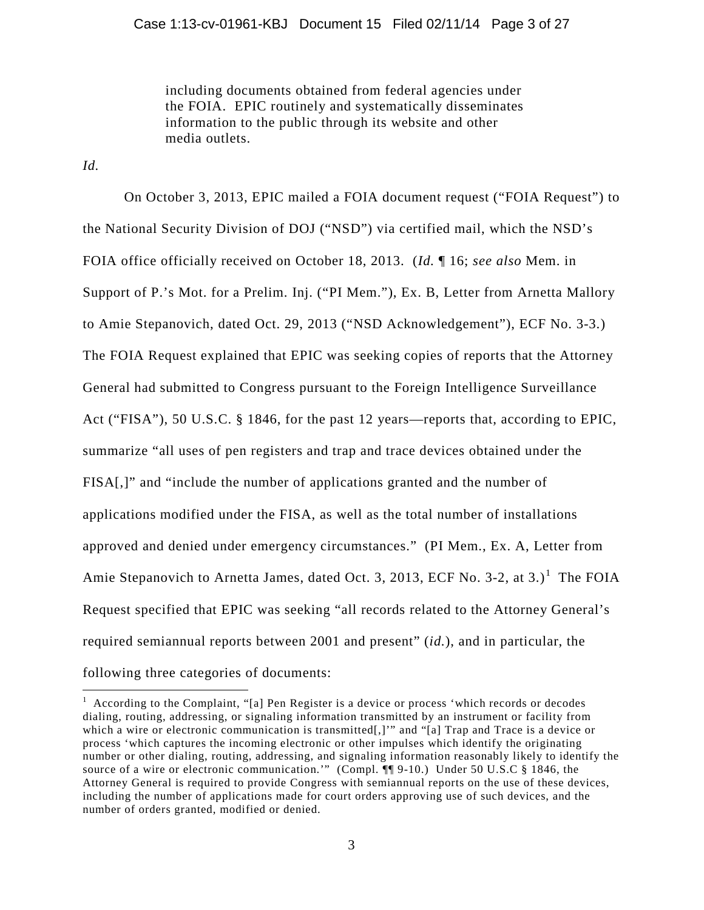including documents obtained from federal agencies under the FOIA. EPIC routinely and systematically disseminates information to the public through its website and other media outlets.

*Id.*

On October 3, 2013, EPIC mailed a FOIA document request ("FOIA Request") to the National Security Division of DOJ ("NSD") via certified mail, which the NSD's FOIA office officially received on October 18, 2013. (*Id.* ¶ 16; *see also* Mem. in Support of P.'s Mot. for a Prelim. Inj. ("PI Mem."), Ex. B, Letter from Arnetta Mallory to Amie Stepanovich, dated Oct. 29, 2013 ("NSD Acknowledgement"), ECF No. 3-3.) The FOIA Request explained that EPIC was seeking copies of reports that the Attorney General had submitted to Congress pursuant to the Foreign Intelligence Surveillance Act ("FISA"), 50 U.S.C. § 1846, for the past 12 years—reports that, according to EPIC, summarize "all uses of pen registers and trap and trace devices obtained under the FISA[,]" and "include the number of applications granted and the number of applications modified under the FISA, as well as the total number of installations approved and denied under emergency circumstances." (PI Mem., Ex. A, Letter from Amie Stepanovich to Arnetta James, dated Oct. 3, 20[1](#page-2-0)3, ECF No. 3-2, at 3.)<sup>1</sup> The FOIA Request specified that EPIC was seeking "all records related to the Attorney General's required semiannual reports between 2001 and present" (*id.*), and in particular, the following three categories of documents:

<span id="page-2-0"></span> $\frac{1}{1}$  $<sup>1</sup>$  According to the Complaint, "[a] Pen Register is a device or process 'which records or decodes</sup> dialing, routing, addressing, or signaling information transmitted by an instrument or facility from which a wire or electronic communication is transmitted[,]'" and "[a] Trap and Trace is a device or process 'which captures the incoming electronic or other impulses which identify the originating number or other dialing, routing, addressing, and signaling information reasonably likely to identify the source of a wire or electronic communication." (Compl. ¶¶ 9-10.) Under 50 U.S.C § 1846, the Attorney General is required to provide Congress with semiannual reports on the use of these devices, including the number of applications made for court orders approving use of such devices, and the number of orders granted, modified or denied.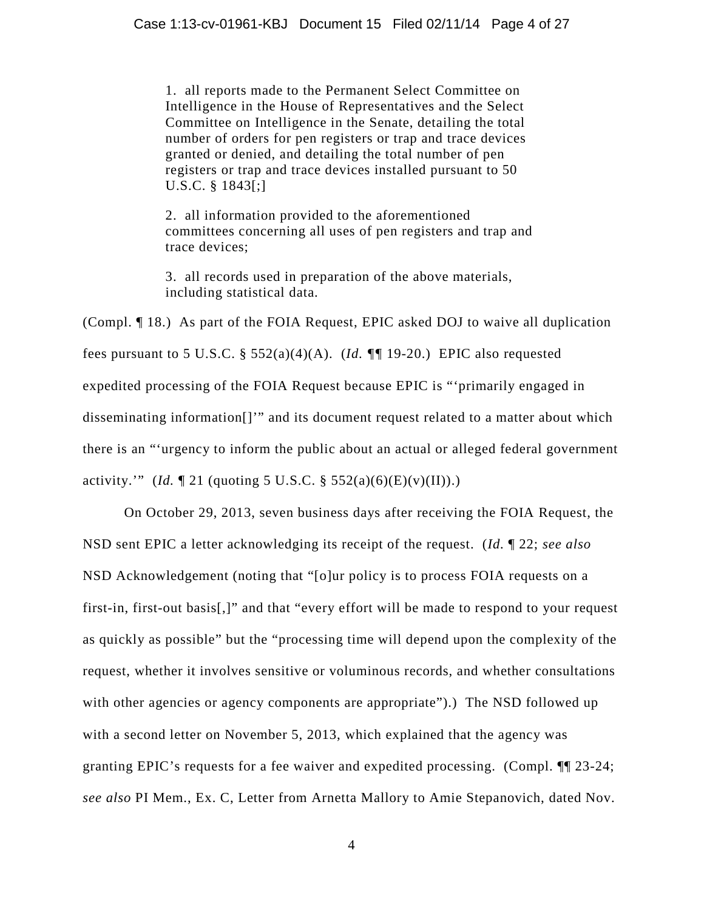1. all reports made to the Permanent Select Committee on Intelligence in the House of Representatives and the Select Committee on Intelligence in the Senate, detailing the total number of orders for pen registers or trap and trace devices granted or denied, and detailing the total number of pen registers or trap and trace devices installed pursuant to 50 U.S.C. § 1843[;]

2. all information provided to the aforementioned committees concerning all uses of pen registers and trap and trace devices;

3. all records used in preparation of the above materials, including statistical data.

(Compl. ¶ 18.) As part of the FOIA Request, EPIC asked DOJ to waive all duplication fees pursuant to 5 U.S.C. § 552(a)(4)(A). (*Id. ¶¶* 19-20.) EPIC also requested expedited processing of the FOIA Request because EPIC is "'primarily engaged in disseminating information[]'" and its document request related to a matter about which there is an "'urgency to inform the public about an actual or alleged federal government activity.'" (*Id.*  $\P$  21 (quoting 5 U.S.C. § 552(a)(6)(E)(v)(II)).)

On October 29, 2013, seven business days after receiving the FOIA Request, the NSD sent EPIC a letter acknowledging its receipt of the request. (*Id.* ¶ 22; *see also* NSD Acknowledgement (noting that "[o]ur policy is to process FOIA requests on a first-in, first-out basis[,]" and that "every effort will be made to respond to your request as quickly as possible" but the "processing time will depend upon the complexity of the request, whether it involves sensitive or voluminous records, and whether consultations with other agencies or agency components are appropriate").) The NSD followed up with a second letter on November 5, 2013, which explained that the agency was granting EPIC's requests for a fee waiver and expedited processing. (Compl. ¶¶ 23-24; *see also* PI Mem., Ex. C, Letter from Arnetta Mallory to Amie Stepanovich, dated Nov.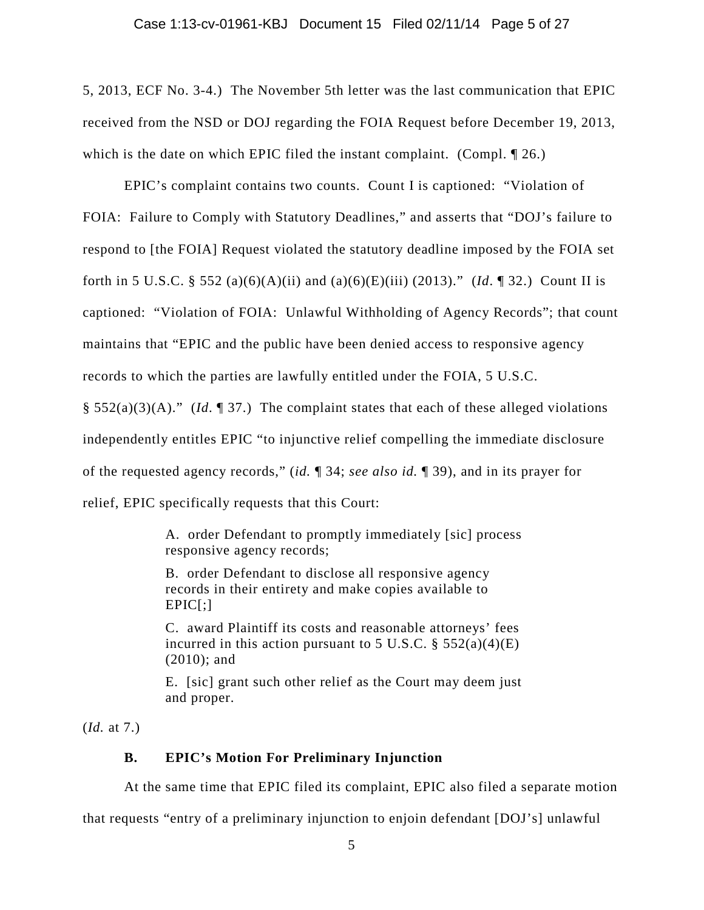5, 2013, ECF No. 3-4.) The November 5th letter was the last communication that EPIC received from the NSD or DOJ regarding the FOIA Request before December 19, 2013, which is the date on which EPIC filed the instant complaint. (Compl.  $\P$  26.)

EPIC's complaint contains two counts. Count I is captioned: "Violation of FOIA: Failure to Comply with Statutory Deadlines," and asserts that "DOJ's failure to respond to [the FOIA] Request violated the statutory deadline imposed by the FOIA set forth in 5 U.S.C. § 552 (a)(6)(A)(ii) and (a)(6)(E)(iii) (2013)." (*Id*. ¶ 32.) Count II is captioned: "Violation of FOIA: Unlawful Withholding of Agency Records"; that count maintains that "EPIC and the public have been denied access to responsive agency records to which the parties are lawfully entitled under the FOIA, 5 U.S.C. § 552(a)(3)(A)." (*Id*. ¶ 37.) The complaint states that each of these alleged violations independently entitles EPIC "to injunctive relief compelling the immediate disclosure of the requested agency records," (*id.* ¶ 34; *see also id.* ¶ 39), and in its prayer for relief, EPIC specifically requests that this Court:

> A. order Defendant to promptly immediately [sic] process responsive agency records;

B. order Defendant to disclose all responsive agency records in their entirety and make copies available to  $EPIC$ [;]

C. award Plaintiff its costs and reasonable attorneys' fees incurred in this action pursuant to 5 U.S.C.  $\S$  552(a)(4)(E) (2010); and

E. [sic] grant such other relief as the Court may deem just and proper.

(*Id.* at 7.)

# **B. EPIC's Motion For Preliminary Injunction**

At the same time that EPIC filed its complaint, EPIC also filed a separate motion

that requests "entry of a preliminary injunction to enjoin defendant [DOJ's] unlawful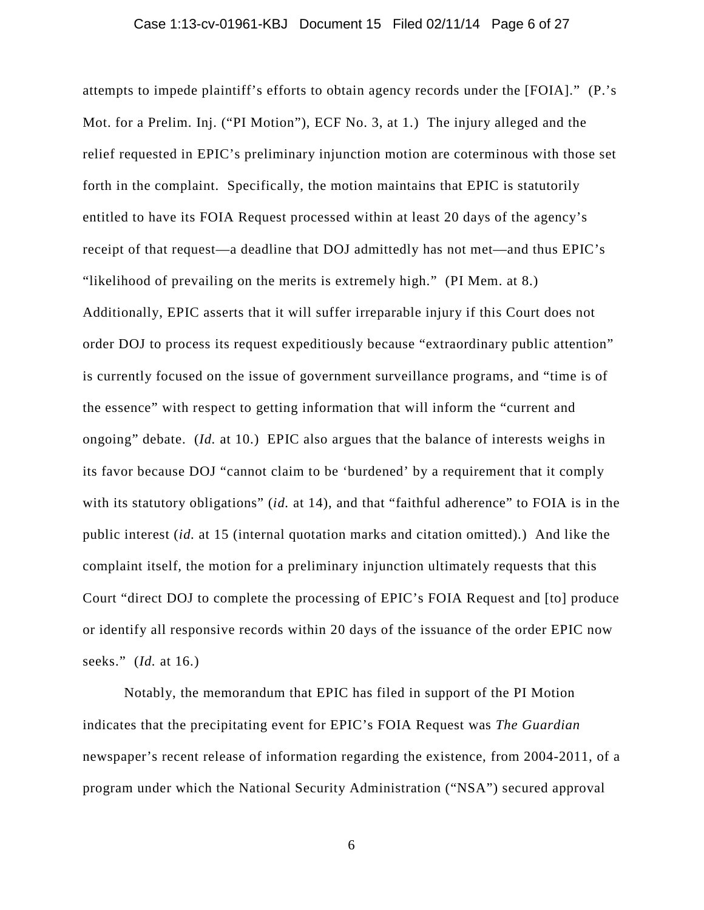attempts to impede plaintiff's efforts to obtain agency records under the [FOIA]." (P.'s Mot. for a Prelim. Inj. ("PI Motion"), ECF No. 3, at 1.) The injury alleged and the relief requested in EPIC's preliminary injunction motion are coterminous with those set forth in the complaint. Specifically, the motion maintains that EPIC is statutorily entitled to have its FOIA Request processed within at least 20 days of the agency's receipt of that request—a deadline that DOJ admittedly has not met—and thus EPIC's "likelihood of prevailing on the merits is extremely high." (PI Mem. at 8.) Additionally, EPIC asserts that it will suffer irreparable injury if this Court does not order DOJ to process its request expeditiously because "extraordinary public attention" is currently focused on the issue of government surveillance programs, and "time is of the essence" with respect to getting information that will inform the "current and ongoing" debate. (*Id.* at 10.) EPIC also argues that the balance of interests weighs in its favor because DOJ "cannot claim to be 'burdened' by a requirement that it comply with its statutory obligations" *(id.* at 14), and that "faithful adherence" to FOIA is in the public interest (*id.* at 15 (internal quotation marks and citation omitted).) And like the complaint itself, the motion for a preliminary injunction ultimately requests that this Court "direct DOJ to complete the processing of EPIC's FOIA Request and [to] produce or identify all responsive records within 20 days of the issuance of the order EPIC now seeks." (*Id.* at 16.)

Notably, the memorandum that EPIC has filed in support of the PI Motion indicates that the precipitating event for EPIC's FOIA Request was *The Guardian* newspaper's recent release of information regarding the existence, from 2004-2011, of a program under which the National Security Administration ("NSA") secured approval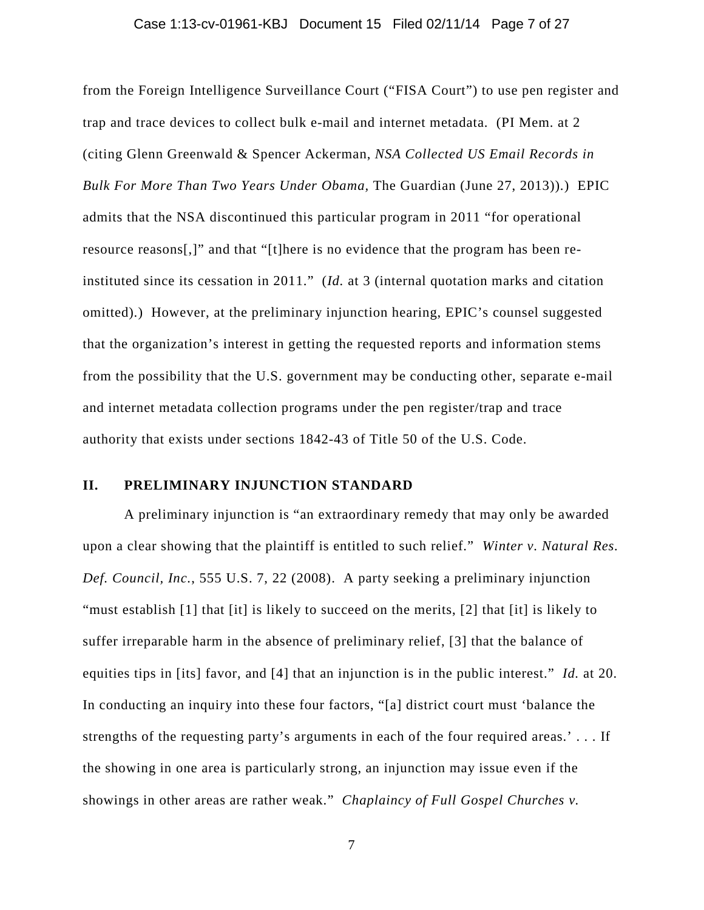### Case 1:13-cv-01961-KBJ Document 15 Filed 02/11/14 Page 7 of 27

from the Foreign Intelligence Surveillance Court ("FISA Court") to use pen register and trap and trace devices to collect bulk e-mail and internet metadata. (PI Mem. at 2 (citing Glenn Greenwald & Spencer Ackerman, *NSA Collected US Email Records in Bulk For More Than Two Years Under Obama,* The Guardian (June 27, 2013)).) EPIC admits that the NSA discontinued this particular program in 2011 "for operational resource reasons[,]" and that "[t]here is no evidence that the program has been reinstituted since its cessation in 2011." (*Id.* at 3 (internal quotation marks and citation omitted).) However, at the preliminary injunction hearing, EPIC's counsel suggested that the organization's interest in getting the requested reports and information stems from the possibility that the U.S. government may be conducting other, separate e-mail and internet metadata collection programs under the pen register/trap and trace authority that exists under sections 1842-43 of Title 50 of the U.S. Code.

# **II. PRELIMINARY INJUNCTION STANDARD**

A preliminary injunction is "an extraordinary remedy that may only be awarded upon a clear showing that the plaintiff is entitled to such relief." *Winter v. Natural Res. Def. Council, Inc.*, 555 U.S. 7, 22 (2008). A party seeking a preliminary injunction "must establish [1] that [it] is likely to succeed on the merits, [2] that [it] is likely to suffer irreparable harm in the absence of preliminary relief, [3] that the balance of equities tips in [its] favor, and [4] that an injunction is in the public interest." *Id.* at 20. In conducting an inquiry into these four factors, "[a] district court must 'balance the strengths of the requesting party's arguments in each of the four required areas.' . . . If the showing in one area is particularly strong, an injunction may issue even if the showings in other areas are rather weak." *Chaplaincy of Full Gospel Churches v.*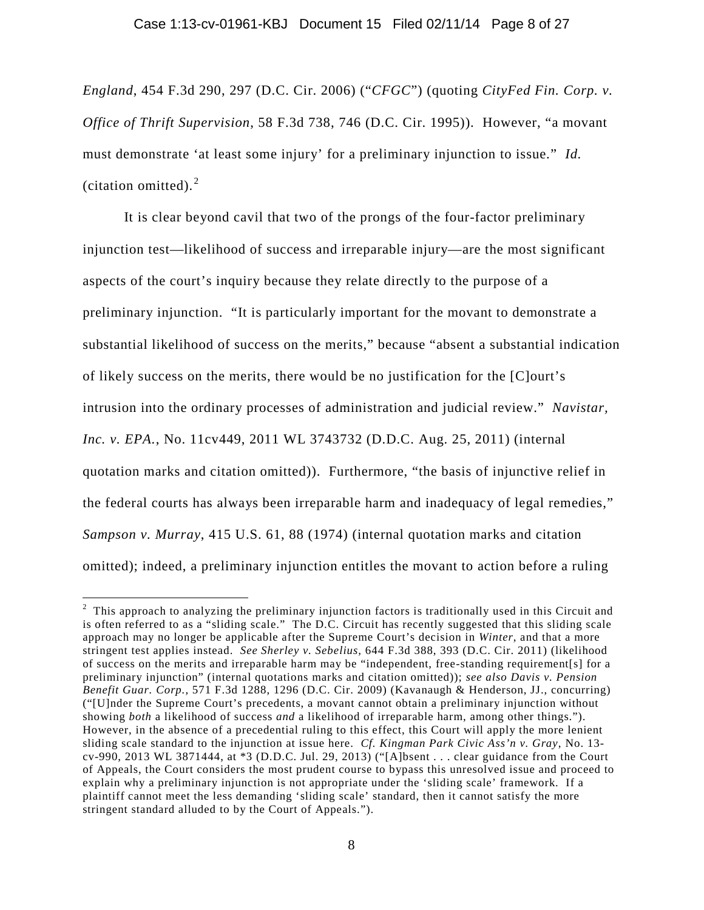*England*, 454 F.3d 290, 297 (D.C. Cir. 2006) ("*CFGC*") (quoting *CityFed Fin. Corp. v. Office of Thrift Supervision*, 58 F.3d 738, 746 (D.C. Cir. 1995)). However, "a movant must demonstrate 'at least some injury' for a preliminary injunction to issue." *Id.* (citation omitted). $2$ 

It is clear beyond cavil that two of the prongs of the four-factor preliminary injunction test—likelihood of success and irreparable injury—are the most significant aspects of the court's inquiry because they relate directly to the purpose of a preliminary injunction. "It is particularly important for the movant to demonstrate a substantial likelihood of success on the merits," because "absent a substantial indication of likely success on the merits, there would be no justification for the [C]ourt's intrusion into the ordinary processes of administration and judicial review." *Navistar, Inc. v. EPA.*, No. 11cv449, 2011 WL 3743732 (D.D.C. Aug. 25, 2011) (internal quotation marks and citation omitted)). Furthermore, "the basis of injunctive relief in the federal courts has always been irreparable harm and inadequacy of legal remedies," *Sampson v. Murray*, 415 U.S. 61, 88 (1974) (internal quotation marks and citation omitted); indeed, a preliminary injunction entitles the movant to action before a ruling

<span id="page-7-0"></span> $\frac{1}{2}$  $2$  This approach to analyzing the preliminary injunction factors is traditionally used in this Circuit and is often referred to as a "sliding scale." The D.C. Circuit has recently suggested that this sliding scale approach may no longer be applicable after the Supreme Court's decision in *Winter*, and that a more stringent test applies instead. *See Sherley v. Sebelius,* 644 F.3d 388, 393 (D.C. Cir. 2011) (likelihood of success on the merits and irreparable harm may be "independent, free-standing requirement[s] for a preliminary injunction" (internal quotations marks and citation omitted)); *see also Davis v. Pension Benefit Guar. Corp.*, 571 F.3d 1288, 1296 (D.C. Cir. 2009) (Kavanaugh & Henderson, JJ., concurring) ("[U]nder the Supreme Court's precedents, a movant cannot obtain a preliminary injunction without showing *both* a likelihood of success *and* a likelihood of irreparable harm, among other things."). However, in the absence of a precedential ruling to this effect, this Court will apply the more lenient sliding scale standard to the injunction at issue here. *Cf. Kingman Park Civic Ass'n v. Gray*, No. 13 cv-990, 2013 WL 3871444, at \*3 (D.D.C. Jul. 29, 2013) ("[A]bsent . . . clear guidance from the Court of Appeals, the Court considers the most prudent course to bypass this unresolved issue and proceed to explain why a preliminary injunction is not appropriate under the 'sliding scale' framework. If a plaintiff cannot meet the less demanding 'sliding scale' standard, then it cannot satisfy the more stringent standard alluded to by the Court of Appeals.").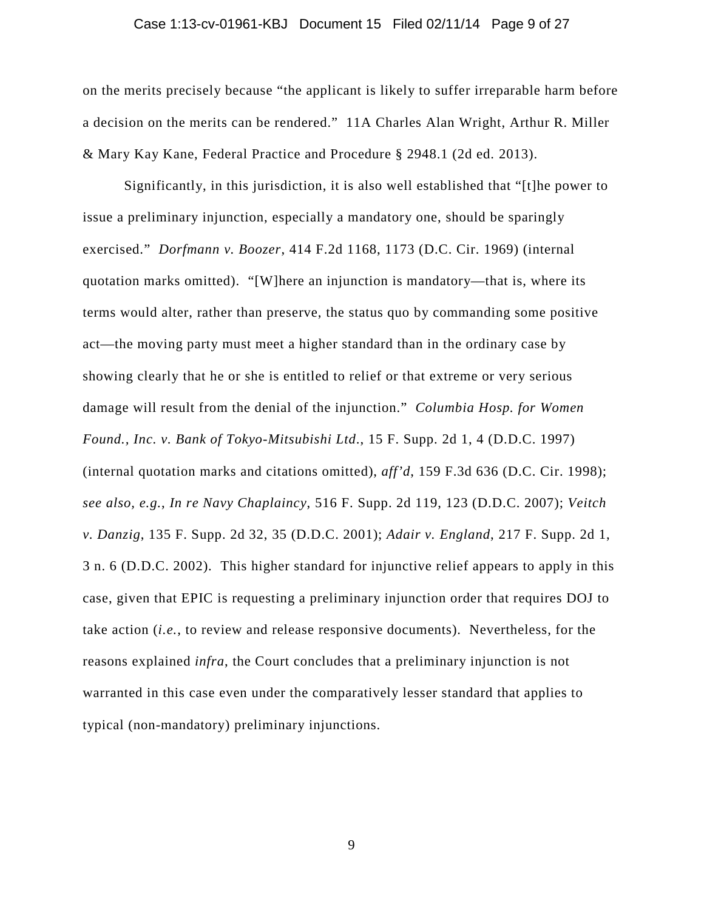### Case 1:13-cv-01961-KBJ Document 15 Filed 02/11/14 Page 9 of 27

on the merits precisely because "the applicant is likely to suffer irreparable harm before a decision on the merits can be rendered." 11A Charles Alan Wright, Arthur R. Miller & Mary Kay Kane, Federal Practice and Procedure § 2948.1 (2d ed. 2013).

Significantly, in this jurisdiction, it is also well established that "[t]he power to issue a preliminary injunction, especially a mandatory one, should be sparingly exercised." *Dorfmann v. Boozer*, 414 F.2d 1168, 1173 (D.C. Cir. 1969) (internal quotation marks omitted). "[W]here an injunction is mandatory—that is, where its terms would alter, rather than preserve, the status quo by commanding some positive act—the moving party must meet a higher standard than in the ordinary case by showing clearly that he or she is entitled to relief or that extreme or very serious damage will result from the denial of the injunction." *Columbia Hosp. for Women Found., Inc. v. Bank of Tokyo-Mitsubishi Ltd*., 15 F. Supp. 2d 1, 4 (D.D.C. 1997) (internal quotation marks and citations omitted), *aff'd*, 159 F.3d 636 (D.C. Cir. 1998); *see also, e.g.*, *In re Navy Chaplaincy*, 516 F. Supp. 2d 119, 123 (D.D.C. 2007); *Veitch v. Danzig*, 135 F. Supp. 2d 32, 35 (D.D.C. 2001); *Adair v. England*, 217 F. Supp. 2d 1, 3 n. 6 (D.D.C. 2002). This higher standard for injunctive relief appears to apply in this case, given that EPIC is requesting a preliminary injunction order that requires DOJ to take action (*i.e.*, to review and release responsive documents). Nevertheless, for the reasons explained *infra*, the Court concludes that a preliminary injunction is not warranted in this case even under the comparatively lesser standard that applies to typical (non-mandatory) preliminary injunctions.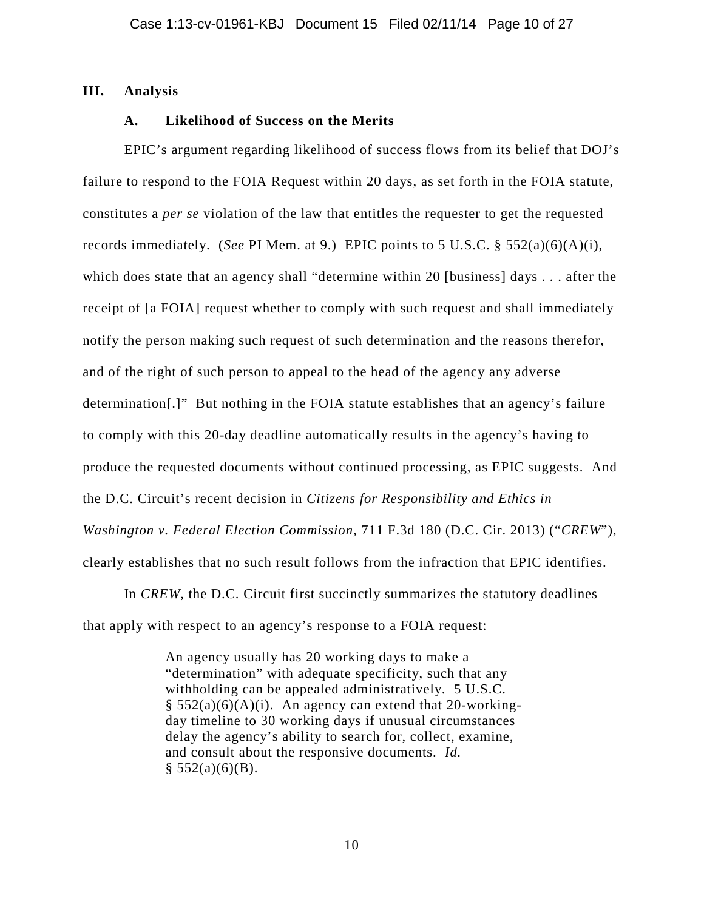## **III. Analysis**

# **A. Likelihood of Success on the Merits**

EPIC's argument regarding likelihood of success flows from its belief that DOJ's failure to respond to the FOIA Request within 20 days, as set forth in the FOIA statute, constitutes a *per se* violation of the law that entitles the requester to get the requested records immediately. (*See* PI Mem. at 9.) EPIC points to 5 U.S.C. § 552(a)(6)(A)(i), which does state that an agency shall "determine within 20 [business] days . . . after the receipt of [a FOIA] request whether to comply with such request and shall immediately notify the person making such request of such determination and the reasons therefor, and of the right of such person to appeal to the head of the agency any adverse determination[.]" But nothing in the FOIA statute establishes that an agency's failure to comply with this 20-day deadline automatically results in the agency's having to produce the requested documents without continued processing, as EPIC suggests. And the D.C. Circuit's recent decision in *Citizens for Responsibility and Ethics in Washington v. Federal Election Commission*, 711 F.3d 180 (D.C. Cir. 2013) ("*CREW*"), clearly establishes that no such result follows from the infraction that EPIC identifies.

In *CREW*, the D.C. Circuit first succinctly summarizes the statutory deadlines that apply with respect to an agency's response to a FOIA request:

> An agency usually has 20 working days to make a "determination" with adequate specificity, such that any withholding can be appealed administratively. 5 U.S.C.  $§ 552(a)(6)(A)(i)$ . An agency can extend that 20-workingday timeline to 30 working days if unusual circumstances delay the agency's ability to search for, collect, examine, and consult about the responsive documents. *Id.*  $§ 552(a)(6)(B).$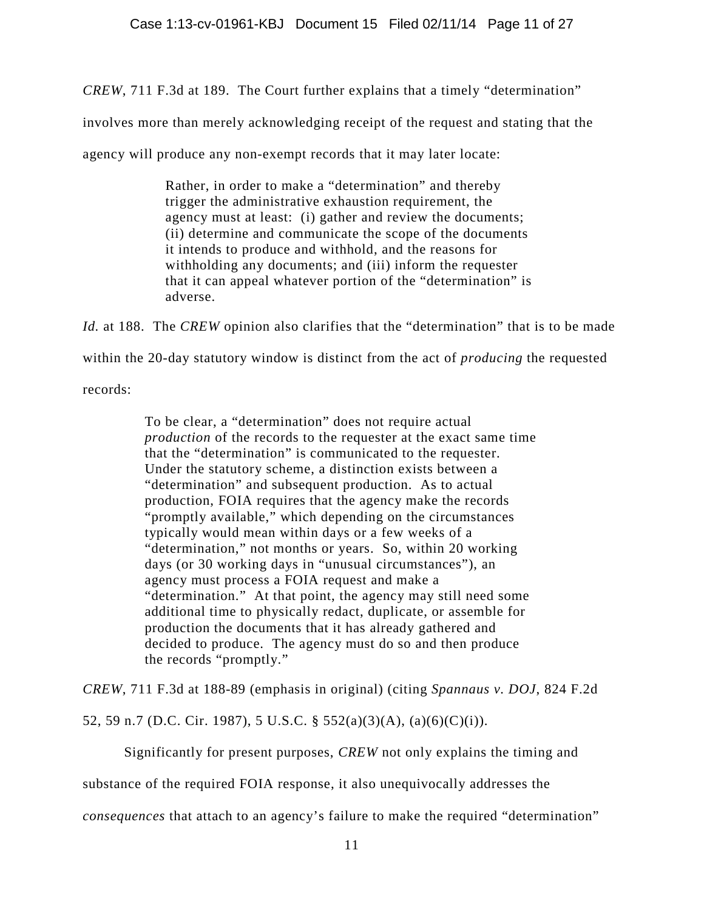*CREW*, 711 F.3d at 189. The Court further explains that a timely "determination"

involves more than merely acknowledging receipt of the request and stating that the

agency will produce any non-exempt records that it may later locate:

Rather, in order to make a "determination" and thereby trigger the administrative exhaustion requirement, the agency must at least: (i) gather and review the documents; (ii) determine and communicate the scope of the documents it intends to produce and withhold, and the reasons for withholding any documents; and (iii) inform the requester that it can appeal whatever portion of the "determination" is adverse.

*Id.* at 188.The *CREW* opinion also clarifies that the "determination" that is to be made within the 20-day statutory window is distinct from the act of *producing* the requested records:

> To be clear, a "determination" does not require actual *production* of the records to the requester at the exact same time that the "determination" is communicated to the requester. Under the statutory scheme, a distinction exists between a "determination" and subsequent production. As to actual production, FOIA requires that the agency make the records "promptly available," which depending on the circumstances typically would mean within days or a few weeks of a "determination," not months or years. So, within 20 working days (or 30 working days in "unusual circumstances"), an agency must process a FOIA request and make a "determination." At that point, the agency may still need some additional time to physically redact, duplicate, or assemble for production the documents that it has already gathered and decided to produce. The agency must do so and then produce the records "promptly."

*CREW*, 711 F.3d at 188-89 (emphasis in original) (citing *Spannaus v. DOJ*, 824 F.2d

52, 59 n.7 (D.C. Cir. 1987), 5 U.S.C. § 552(a)(3)(A), (a)(6)(C)(i)).

Significantly for present purposes, *CREW* not only explains the timing and

substance of the required FOIA response, it also unequivocally addresses the

*consequences* that attach to an agency's failure to make the required "determination"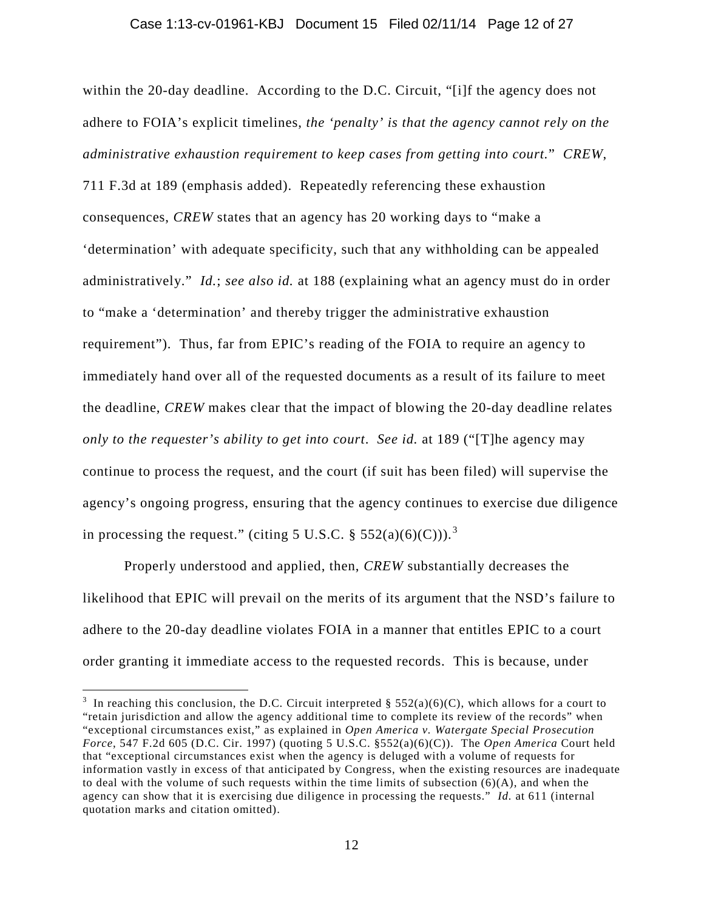#### Case 1:13-cv-01961-KBJ Document 15 Filed 02/11/14 Page 12 of 27

within the 20-day deadline. According to the D.C. Circuit, "[i]f the agency does not adhere to FOIA's explicit timelines, *the 'penalty' is that the agency cannot rely on the administrative exhaustion requirement to keep cases from getting into court.*" *CREW*, 711 F.3d at 189 (emphasis added). Repeatedly referencing these exhaustion consequences, *CREW* states that an agency has 20 working days to "make a 'determination' with adequate specificity, such that any withholding can be appealed administratively." *Id.*; *see also id.* at 188 (explaining what an agency must do in order to "make a 'determination' and thereby trigger the administrative exhaustion requirement"). Thus, far from EPIC's reading of the FOIA to require an agency to immediately hand over all of the requested documents as a result of its failure to meet the deadline, *CREW* makes clear that the impact of blowing the 20-day deadline relates *only to the requester's ability to get into court*. *See id.* at 189 ("[T]he agency may continue to process the request, and the court (if suit has been filed) will supervise the agency's ongoing progress, ensuring that the agency continues to exercise due diligence in processing the request." (citing 5 U.S.C. § 552(a)(6)(C))).<sup>[3](#page-11-0)</sup>

Properly understood and applied, then, *CREW* substantially decreases the likelihood that EPIC will prevail on the merits of its argument that the NSD's failure to adhere to the 20-day deadline violates FOIA in a manner that entitles EPIC to a court order granting it immediate access to the requested records. This is because, under

<span id="page-11-0"></span><sup>&</sup>lt;sup>2</sup><br>3 <sup>3</sup> In reaching this conclusion, the D.C. Circuit interpreted § 552(a)(6)(C), which allows for a court to "retain jurisdiction and allow the agency additional time to complete its review of the records" when "exceptional circumstances exist," as explained in *Open America v. Watergate Special Prosecution Force*, 547 F.2d 605 (D.C. Cir. 1997) (quoting 5 U.S.C. §552(a)(6)(C)). The *Open America* Court held that "exceptional circumstances exist when the agency is deluged with a volume of requests for information vastly in excess of that anticipated by Congress, when the existing resources are inadequate to deal with the volume of such requests within the time limits of subsection  $(6)(A)$ , and when the agency can show that it is exercising due diligence in processing the requests." *Id.* at 611 (internal quotation marks and citation omitted).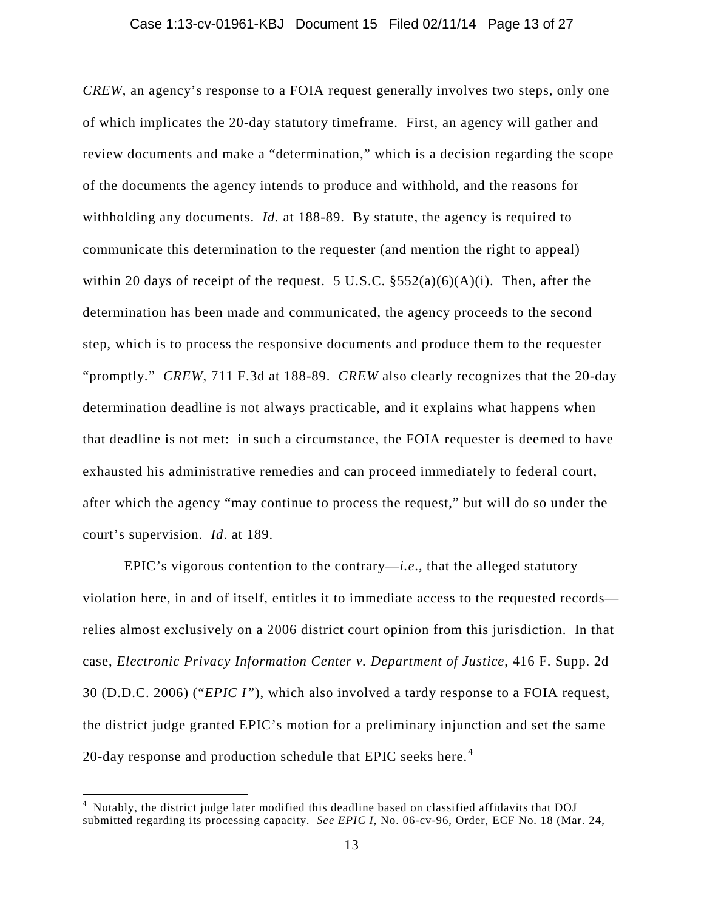#### Case 1:13-cv-01961-KBJ Document 15 Filed 02/11/14 Page 13 of 27

*CREW*, an agency's response to a FOIA request generally involves two steps, only one of which implicates the 20-day statutory timeframe. First, an agency will gather and review documents and make a "determination," which is a decision regarding the scope of the documents the agency intends to produce and withhold, and the reasons for withholding any documents. *Id.* at 188-89. By statute, the agency is required to communicate this determination to the requester (and mention the right to appeal) within 20 days of receipt of the request. 5 U.S.C.  $\S 552(a)(6)(A)(i)$ . Then, after the determination has been made and communicated, the agency proceeds to the second step, which is to process the responsive documents and produce them to the requester "promptly." *CREW*, 711 F.3d at 188-89. *CREW* also clearly recognizes that the 20-day determination deadline is not always practicable, and it explains what happens when that deadline is not met: in such a circumstance, the FOIA requester is deemed to have exhausted his administrative remedies and can proceed immediately to federal court, after which the agency "may continue to process the request," but will do so under the court's supervision. *Id*. at 189.

EPIC's vigorous contention to the contrary—*i.e*., that the alleged statutory violation here, in and of itself, entitles it to immediate access to the requested records relies almost exclusively on a 2006 district court opinion from this jurisdiction. In that case, *Electronic Privacy Information Center v. Department of Justice*, 416 F. Supp. 2d 30 (D.D.C. 2006) ("*EPIC I"*), which also involved a tardy response to a FOIA request, the district judge granted EPIC's motion for a preliminary injunction and set the same 20-day response and production schedule that EPIC seeks here.<sup>[4](#page-12-0)</sup>

<span id="page-12-0"></span> $\frac{1}{4}$  Notably, the district judge later modified this deadline based on classified affidavits that DOJ submitted regarding its processing capacity. *See EPIC I*, No. 06-cv-96, Order, ECF No. 18 (Mar. 24,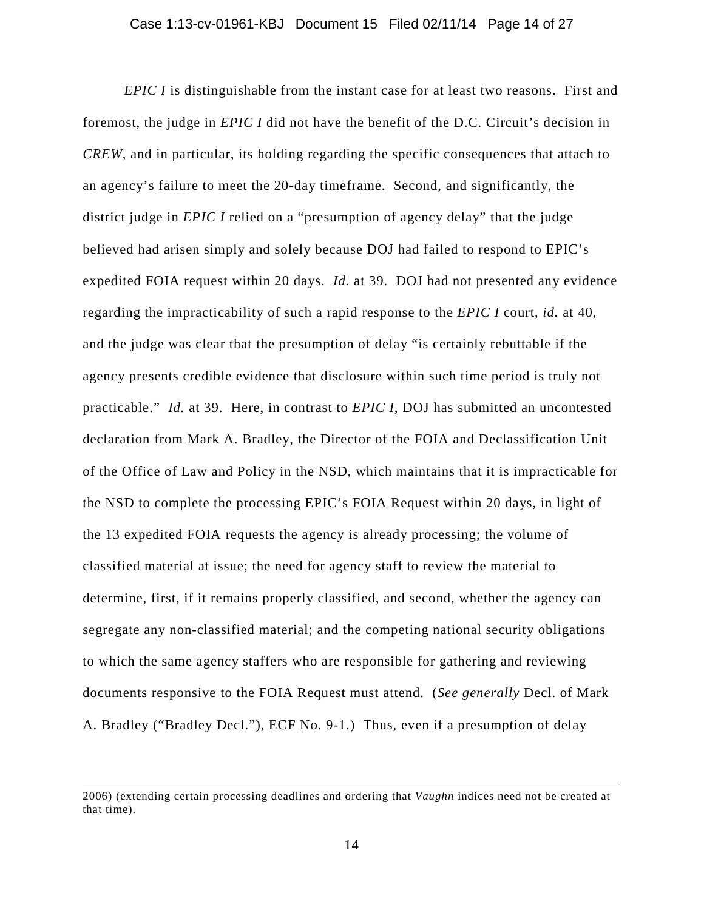*EPIC I* is distinguishable from the instant case for at least two reasons. First and foremost, the judge in *EPIC I* did not have the benefit of the D.C. Circuit's decision in *CREW*, and in particular, its holding regarding the specific consequences that attach to an agency's failure to meet the 20-day timeframe. Second, and significantly, the district judge in *EPIC I* relied on a "presumption of agency delay" that the judge believed had arisen simply and solely because DOJ had failed to respond to EPIC's expedited FOIA request within 20 days. *Id.* at 39. DOJ had not presented any evidence regarding the impracticability of such a rapid response to the *EPIC I* court, *id.* at 40, and the judge was clear that the presumption of delay "is certainly rebuttable if the agency presents credible evidence that disclosure within such time period is truly not practicable." *Id.* at 39. Here, in contrast to *EPIC I*, DOJ has submitted an uncontested declaration from Mark A. Bradley, the Director of the FOIA and Declassification Unit of the Office of Law and Policy in the NSD, which maintains that it is impracticable for the NSD to complete the processing EPIC's FOIA Request within 20 days, in light of the 13 expedited FOIA requests the agency is already processing; the volume of classified material at issue; the need for agency staff to review the material to determine, first, if it remains properly classified, and second, whether the agency can segregate any non-classified material; and the competing national security obligations to which the same agency staffers who are responsible for gathering and reviewing documents responsive to the FOIA Request must attend. (*See generally* Decl. of Mark A. Bradley ("Bradley Decl."), ECF No. 9-1.) Thus, even if a presumption of delay

 $\overline{a}$ 

<sup>2006) (</sup>extending certain processing deadlines and ordering that *Vaughn* indices need not be created at that time).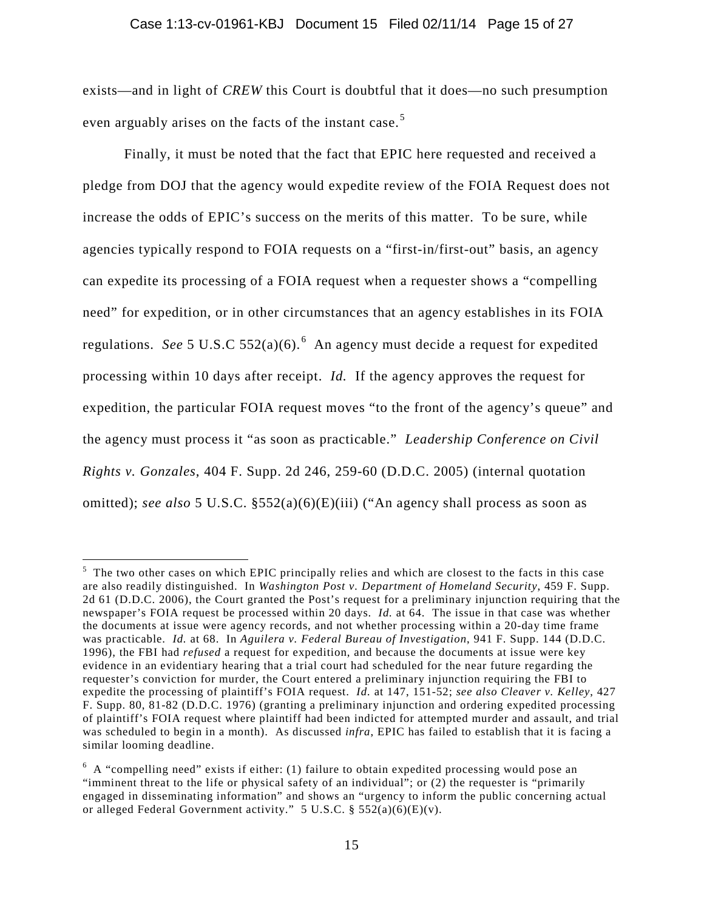### Case 1:13-cv-01961-KBJ Document 15 Filed 02/11/14 Page 15 of 27

exists—and in light of *CREW* this Court is doubtful that it does—no such presumption even arguably arises on the facts of the instant case.<sup>[5](#page-14-0)</sup>

Finally, it must be noted that the fact that EPIC here requested and received a pledge from DOJ that the agency would expedite review of the FOIA Request does not increase the odds of EPIC's success on the merits of this matter. To be sure, while agencies typically respond to FOIA requests on a "first-in/first-out" basis, an agency can expedite its processing of a FOIA request when a requester shows a "compelling need" for expedition, or in other circumstances that an agency establishes in its FOIA regulations. See 5 U.S.C 552(a)([6](#page-14-1)).<sup>6</sup> An agency must decide a request for expedited processing within 10 days after receipt. *Id.* If the agency approves the request for expedition, the particular FOIA request moves "to the front of the agency's queue" and the agency must process it "as soon as practicable." *Leadership Conference on Civil Rights v. Gonzales*, 404 F. Supp. 2d 246, 259-60 (D.D.C. 2005) (internal quotation omitted); *see also* 5 U.S.C. §552(a)(6)(E)(iii) ("An agency shall process as soon as

<span id="page-14-0"></span> <sup>5</sup>  $<sup>5</sup>$  The two other cases on which EPIC principally relies and which are closest to the facts in this case</sup> are also readily distinguished. In *Washington Post v. Department of Homeland Security*, 459 F. Supp. 2d 61 (D.D.C. 2006), the Court granted the Post's request for a preliminary injunction requiring that the newspaper's FOIA request be processed within 20 days. *Id.* at 64. The issue in that case was whether the documents at issue were agency records, and not whether processing within a 20-day time frame was practicable. *Id.* at 68. In *Aguilera v. Federal Bureau of Investigation*, 941 F. Supp. 144 (D.D.C. 1996), the FBI had *refused* a request for expedition, and because the documents at issue were key evidence in an evidentiary hearing that a trial court had scheduled for the near future regarding the requester's conviction for murder, the Court entered a preliminary injunction requiring the FBI to expedite the processing of plaintiff's FOIA request. *Id.* at 147, 151-52; *see also Cleaver v. Kelley*, 427 F. Supp. 80, 81-82 (D.D.C. 1976) (granting a preliminary injunction and ordering expedited processing of plaintiff's FOIA request where plaintiff had been indicted for attempted murder and assault, and trial was scheduled to begin in a month). As discussed *infra*, EPIC has failed to establish that it is facing a similar looming deadline.

<span id="page-14-1"></span> $6\,$  A "compelling need" exists if either: (1) failure to obtain expedited processing would pose an "imminent threat to the life or physical safety of an individual"; or (2) the requester is "primarily engaged in disseminating information" and shows an "urgency to inform the public concerning actual or alleged Federal Government activity."  $5 \text{ U.S.C.}$  §  $552(a)(6)(E)(v)$ .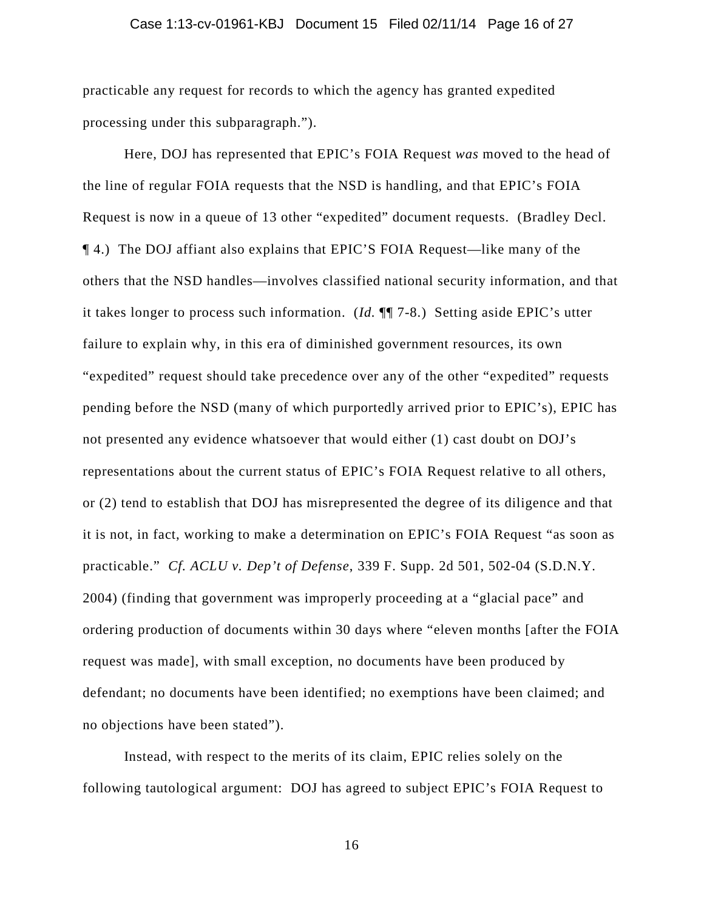### Case 1:13-cv-01961-KBJ Document 15 Filed 02/11/14 Page 16 of 27

practicable any request for records to which the agency has granted expedited processing under this subparagraph.").

Here, DOJ has represented that EPIC's FOIA Request *was* moved to the head of the line of regular FOIA requests that the NSD is handling, and that EPIC's FOIA Request is now in a queue of 13 other "expedited" document requests. (Bradley Decl. ¶ 4.) The DOJ affiant also explains that EPIC'S FOIA Request—like many of the others that the NSD handles—involves classified national security information, and that it takes longer to process such information. (*Id.* ¶¶ 7-8.) Setting aside EPIC's utter failure to explain why, in this era of diminished government resources, its own "expedited" request should take precedence over any of the other "expedited" requests pending before the NSD (many of which purportedly arrived prior to EPIC's), EPIC has not presented any evidence whatsoever that would either (1) cast doubt on DOJ's representations about the current status of EPIC's FOIA Request relative to all others, or (2) tend to establish that DOJ has misrepresented the degree of its diligence and that it is not, in fact, working to make a determination on EPIC's FOIA Request "as soon as practicable." *Cf. ACLU v. Dep't of Defense*, 339 F. Supp. 2d 501, 502-04 (S.D.N.Y. 2004) (finding that government was improperly proceeding at a "glacial pace" and ordering production of documents within 30 days where "eleven months [after the FOIA request was made], with small exception, no documents have been produced by defendant; no documents have been identified; no exemptions have been claimed; and no objections have been stated").

Instead, with respect to the merits of its claim, EPIC relies solely on the following tautological argument: DOJ has agreed to subject EPIC's FOIA Request to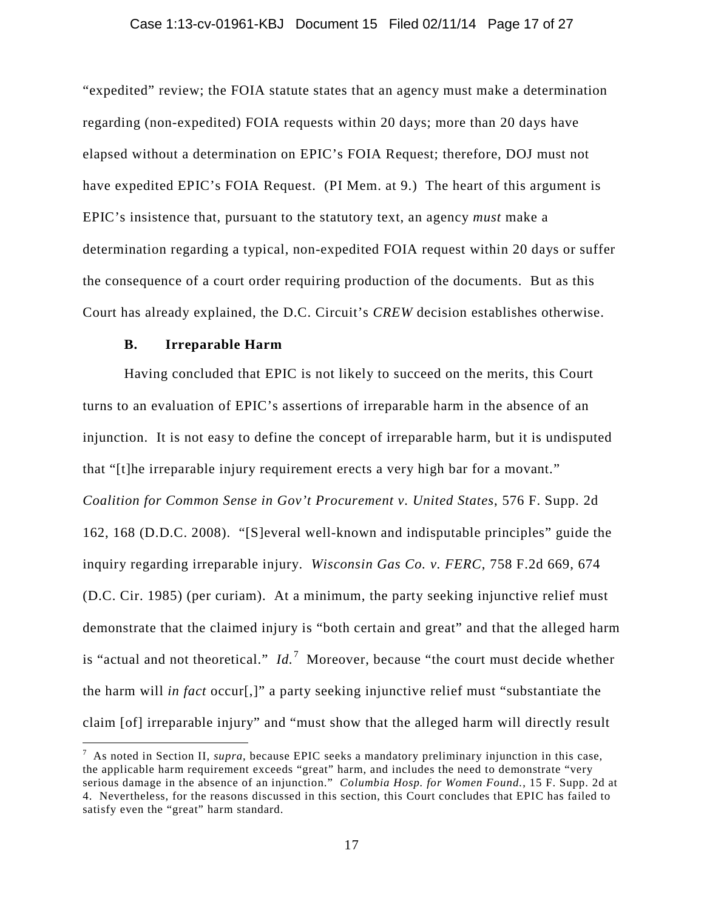#### Case 1:13-cv-01961-KBJ Document 15 Filed 02/11/14 Page 17 of 27

"expedited" review; the FOIA statute states that an agency must make a determination regarding (non-expedited) FOIA requests within 20 days; more than 20 days have elapsed without a determination on EPIC's FOIA Request; therefore, DOJ must not have expedited EPIC's FOIA Request. (PI Mem. at 9.) The heart of this argument is EPIC's insistence that, pursuant to the statutory text, an agency *must* make a determination regarding a typical, non-expedited FOIA request within 20 days or suffer the consequence of a court order requiring production of the documents. But as this Court has already explained, the D.C. Circuit's *CREW* decision establishes otherwise.

# **B. Irreparable Harm**

Having concluded that EPIC is not likely to succeed on the merits, this Court turns to an evaluation of EPIC's assertions of irreparable harm in the absence of an injunction. It is not easy to define the concept of irreparable harm, but it is undisputed that "[t]he irreparable injury requirement erects a very high bar for a movant." *Coalition for Common Sense in Gov't Procurement v. United States*, 576 F. Supp. 2d 162, 168 (D.D.C. 2008). "[S]everal well-known and indisputable principles" guide the inquiry regarding irreparable injury. *Wisconsin Gas Co. v. FERC*, 758 F.2d 669, 674 (D.C. Cir. 1985) (per curiam). At a minimum, the party seeking injunctive relief must demonstrate that the claimed injury is "both certain and great" and that the alleged harm is "actual and not theoretical."  $Id.$ <sup>[7](#page-16-0)</sup> Moreover, because "the court must decide whether the harm will *in fact* occur[,]" a party seeking injunctive relief must "substantiate the claim [of] irreparable injury" and "must show that the alleged harm will directly result

<span id="page-16-0"></span> <sup>7</sup> As noted in Section II, *supra*, because EPIC seeks a mandatory preliminary injunction in this case, the applicable harm requirement exceeds "great" harm, and includes the need to demonstrate "very serious damage in the absence of an injunction." *Columbia Hosp. for Women Found.*, 15 F. Supp. 2d at 4. Nevertheless, for the reasons discussed in this section, this Court concludes that EPIC has failed to satisfy even the "great" harm standard.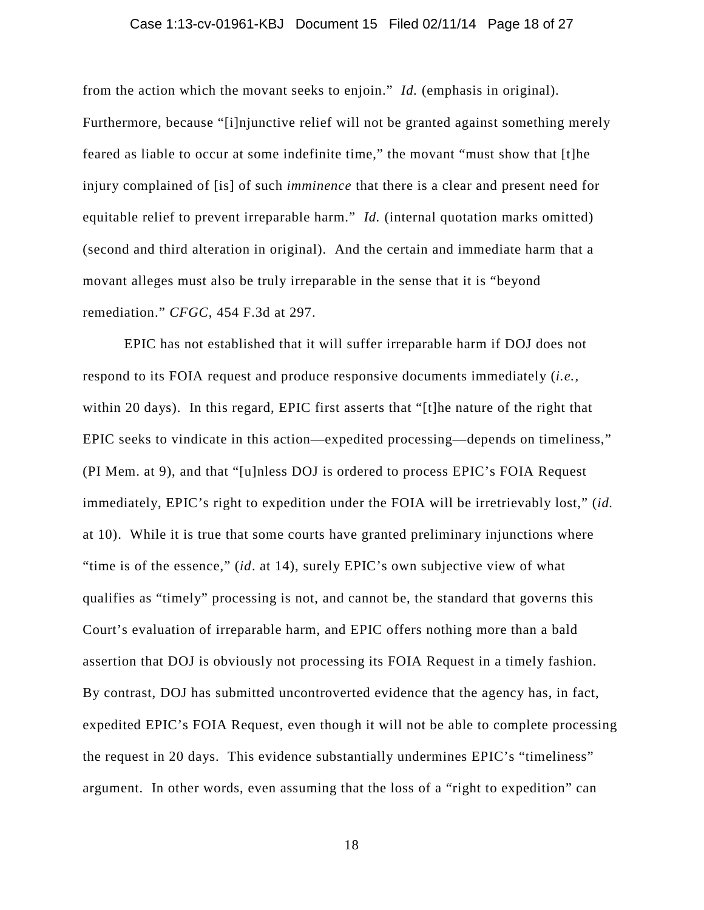### Case 1:13-cv-01961-KBJ Document 15 Filed 02/11/14 Page 18 of 27

from the action which the movant seeks to enjoin." *Id.* (emphasis in original). Furthermore, because "[i]njunctive relief will not be granted against something merely feared as liable to occur at some indefinite time," the movant "must show that [t]he injury complained of [is] of such *imminence* that there is a clear and present need for equitable relief to prevent irreparable harm." *Id.* (internal quotation marks omitted) (second and third alteration in original). And the certain and immediate harm that a movant alleges must also be truly irreparable in the sense that it is "beyond remediation." *CFGC*, 454 F.3d at 297.

EPIC has not established that it will suffer irreparable harm if DOJ does not respond to its FOIA request and produce responsive documents immediately (*i.e.,* within 20 days). In this regard, EPIC first asserts that "[t]he nature of the right that EPIC seeks to vindicate in this action—expedited processing—depends on timeliness," (PI Mem. at 9), and that "[u]nless DOJ is ordered to process EPIC's FOIA Request immediately, EPIC's right to expedition under the FOIA will be irretrievably lost," (*id.* at 10). While it is true that some courts have granted preliminary injunctions where "time is of the essence," (*id*. at 14), surely EPIC's own subjective view of what qualifies as "timely" processing is not, and cannot be, the standard that governs this Court's evaluation of irreparable harm, and EPIC offers nothing more than a bald assertion that DOJ is obviously not processing its FOIA Request in a timely fashion. By contrast, DOJ has submitted uncontroverted evidence that the agency has, in fact, expedited EPIC's FOIA Request, even though it will not be able to complete processing the request in 20 days. This evidence substantially undermines EPIC's "timeliness" argument. In other words, even assuming that the loss of a "right to expedition" can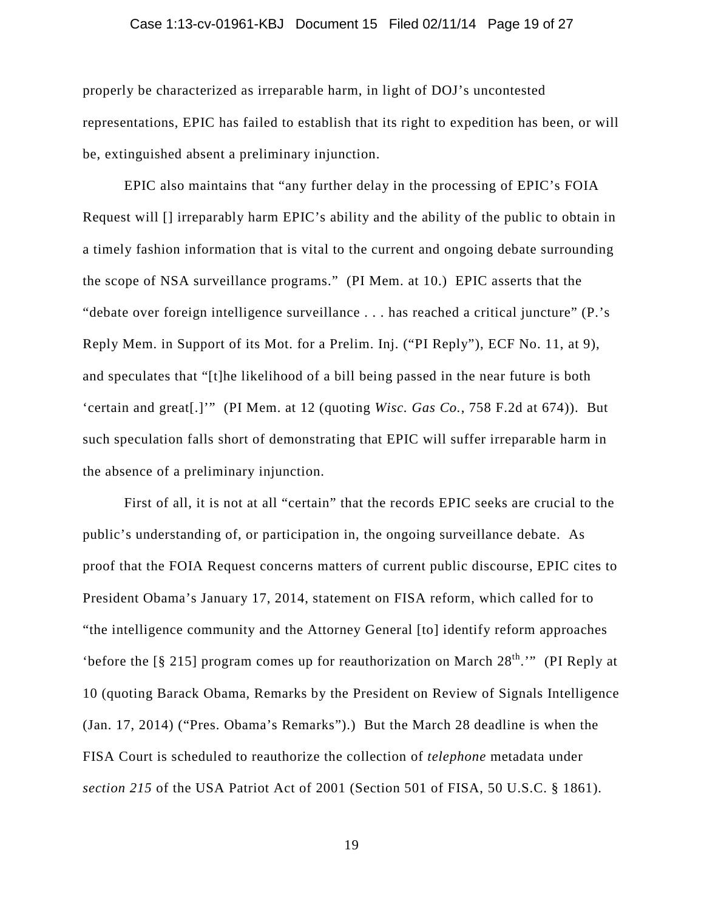### Case 1:13-cv-01961-KBJ Document 15 Filed 02/11/14 Page 19 of 27

properly be characterized as irreparable harm, in light of DOJ's uncontested representations, EPIC has failed to establish that its right to expedition has been, or will be, extinguished absent a preliminary injunction.

EPIC also maintains that "any further delay in the processing of EPIC's FOIA Request will [] irreparably harm EPIC's ability and the ability of the public to obtain in a timely fashion information that is vital to the current and ongoing debate surrounding the scope of NSA surveillance programs." (PI Mem. at 10.) EPIC asserts that the "debate over foreign intelligence surveillance . . . has reached a critical juncture" (P.'s Reply Mem. in Support of its Mot. for a Prelim. Inj. ("PI Reply"), ECF No. 11, at 9), and speculates that "[t]he likelihood of a bill being passed in the near future is both 'certain and great[.]'" (PI Mem. at 12 (quoting *Wisc. Gas Co.*, 758 F.2d at 674)). But such speculation falls short of demonstrating that EPIC will suffer irreparable harm in the absence of a preliminary injunction.

First of all, it is not at all "certain" that the records EPIC seeks are crucial to the public's understanding of, or participation in, the ongoing surveillance debate. As proof that the FOIA Request concerns matters of current public discourse, EPIC cites to President Obama's January 17, 2014, statement on FISA reform, which called for to "the intelligence community and the Attorney General [to] identify reform approaches 'before the  $\lceil \frac{8}{5} \rceil$  program comes up for reauthorization on March  $28^{\text{th}}$ .'" (PI Reply at 10 (quoting Barack Obama, Remarks by the President on Review of Signals Intelligence (Jan. 17, 2014) ("Pres. Obama's Remarks").) But the March 28 deadline is when the FISA Court is scheduled to reauthorize the collection of *telephone* metadata under *section 215* of the USA Patriot Act of 2001 (Section 501 of FISA, 50 U.S.C. § 1861).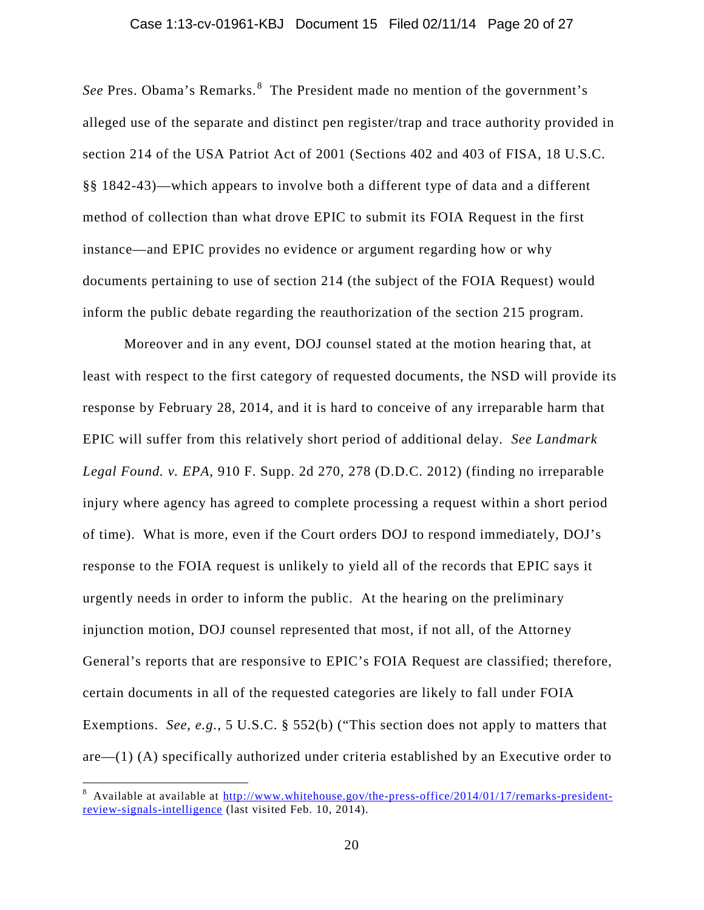#### Case 1:13-cv-01961-KBJ Document 15 Filed 02/11/14 Page 20 of 27

See Pres. Obama's Remarks.<sup>[8](#page-19-0)</sup> The President made no mention of the government's alleged use of the separate and distinct pen register/trap and trace authority provided in section 214 of the USA Patriot Act of 2001 (Sections 402 and 403 of FISA, 18 U.S.C. §§ 1842-43)—which appears to involve both a different type of data and a different method of collection than what drove EPIC to submit its FOIA Request in the first instance—and EPIC provides no evidence or argument regarding how or why documents pertaining to use of section 214 (the subject of the FOIA Request) would inform the public debate regarding the reauthorization of the section 215 program.

Moreover and in any event, DOJ counsel stated at the motion hearing that, at least with respect to the first category of requested documents, the NSD will provide its response by February 28, 2014, and it is hard to conceive of any irreparable harm that EPIC will suffer from this relatively short period of additional delay. *See Landmark Legal Found. v. EPA*, 910 F. Supp. 2d 270, 278 (D.D.C. 2012) (finding no irreparable injury where agency has agreed to complete processing a request within a short period of time). What is more, even if the Court orders DOJ to respond immediately, DOJ's response to the FOIA request is unlikely to yield all of the records that EPIC says it urgently needs in order to inform the public. At the hearing on the preliminary injunction motion, DOJ counsel represented that most, if not all, of the Attorney General's reports that are responsive to EPIC's FOIA Request are classified; therefore, certain documents in all of the requested categories are likely to fall under FOIA Exemptions. *See, e.g.*, 5 U.S.C. § 552(b) ("This section does not apply to matters that are—(1) (A) specifically authorized under criteria established by an Executive order to

<span id="page-19-0"></span> <sup>8</sup> <sup>8</sup> Available at available at [http://www.whitehouse.gov/the-press-office/2014/01/17/remarks-president](http://www.whitehouse.gov/the-press-office/2014/01/17/remarks-president-review-signals-intelligence)[review-signals-intelligence](http://www.whitehouse.gov/the-press-office/2014/01/17/remarks-president-review-signals-intelligence) (last visited Feb. 10, 2014).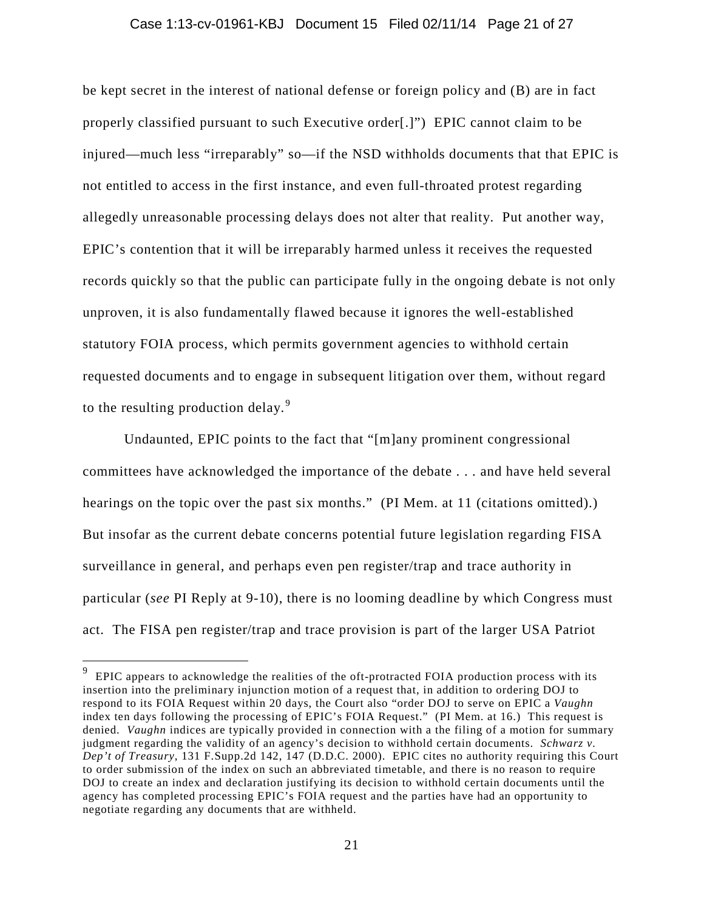#### Case 1:13-cv-01961-KBJ Document 15 Filed 02/11/14 Page 21 of 27

be kept secret in the interest of national defense or foreign policy and (B) are in fact properly classified pursuant to such Executive order[.]") EPIC cannot claim to be injured—much less "irreparably" so—if the NSD withholds documents that that EPIC is not entitled to access in the first instance, and even full-throated protest regarding allegedly unreasonable processing delays does not alter that reality. Put another way, EPIC's contention that it will be irreparably harmed unless it receives the requested records quickly so that the public can participate fully in the ongoing debate is not only unproven, it is also fundamentally flawed because it ignores the well-established statutory FOIA process, which permits government agencies to withhold certain requested documents and to engage in subsequent litigation over them, without regard to the resulting production delay. $9$ 

Undaunted, EPIC points to the fact that "[m]any prominent congressional committees have acknowledged the importance of the debate . . . and have held several hearings on the topic over the past six months." (PI Mem. at 11 (citations omitted).) But insofar as the current debate concerns potential future legislation regarding FISA surveillance in general, and perhaps even pen register/trap and trace authority in particular (*see* PI Reply at 9-10), there is no looming deadline by which Congress must act. The FISA pen register/trap and trace provision is part of the larger USA Patriot

<span id="page-20-0"></span> $9\text{ }^9$  EPIC appears to acknowledge the realities of the oft-protracted FOIA production process with its insertion into the preliminary injunction motion of a request that, in addition to ordering DOJ to respond to its FOIA Request within 20 days, the Court also "order DOJ to serve on EPIC a *Vaughn* index ten days following the processing of EPIC's FOIA Request." (PI Mem. at 16.) This request is denied. *Vaughn* indices are typically provided in connection with a the filing of a motion for summary judgment regarding the validity of an agency's decision to withhold certain documents. *Schwarz v. Dep't of Treasury*, 131 F.Supp.2d 142, 147 (D.D.C. 2000). EPIC cites no authority requiring this Court to order submission of the index on such an abbreviated timetable, and there is no reason to require DOJ to create an index and declaration justifying its decision to withhold certain documents until the agency has completed processing EPIC's FOIA request and the parties have had an opportunity to negotiate regarding any documents that are withheld.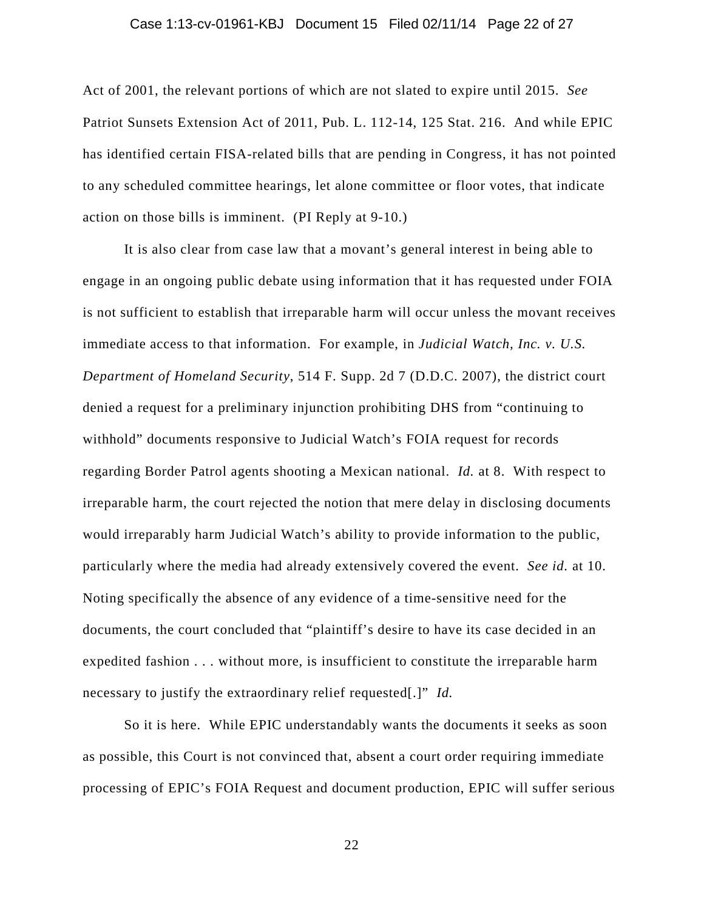### Case 1:13-cv-01961-KBJ Document 15 Filed 02/11/14 Page 22 of 27

Act of 2001, the relevant portions of which are not slated to expire until 2015. *See*  Patriot Sunsets Extension Act of 2011, Pub. L. 112-14, 125 Stat. 216. And while EPIC has identified certain FISA-related bills that are pending in Congress, it has not pointed to any scheduled committee hearings, let alone committee or floor votes, that indicate action on those bills is imminent. (PI Reply at 9-10.)

It is also clear from case law that a movant's general interest in being able to engage in an ongoing public debate using information that it has requested under FOIA is not sufficient to establish that irreparable harm will occur unless the movant receives immediate access to that information. For example, in *Judicial Watch, Inc. v. U.S. Department of Homeland Security*, 514 F. Supp. 2d 7 (D.D.C. 2007), the district court denied a request for a preliminary injunction prohibiting DHS from "continuing to withhold" documents responsive to Judicial Watch's FOIA request for records regarding Border Patrol agents shooting a Mexican national. *Id.* at 8. With respect to irreparable harm, the court rejected the notion that mere delay in disclosing documents would irreparably harm Judicial Watch's ability to provide information to the public, particularly where the media had already extensively covered the event. *See id.* at 10. Noting specifically the absence of any evidence of a time-sensitive need for the documents, the court concluded that "plaintiff's desire to have its case decided in an expedited fashion . . . without more, is insufficient to constitute the irreparable harm necessary to justify the extraordinary relief requested[.]" *Id.*

So it is here. While EPIC understandably wants the documents it seeks as soon as possible, this Court is not convinced that, absent a court order requiring immediate processing of EPIC's FOIA Request and document production, EPIC will suffer serious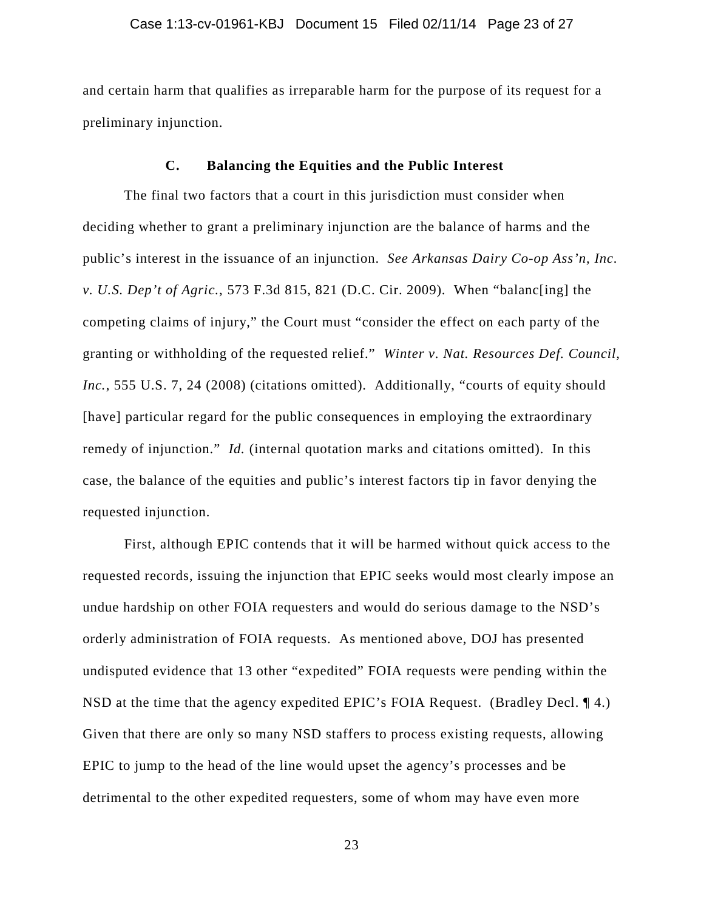and certain harm that qualifies as irreparable harm for the purpose of its request for a preliminary injunction.

## **C. Balancing the Equities and the Public Interest**

The final two factors that a court in this jurisdiction must consider when deciding whether to grant a preliminary injunction are the balance of harms and the public's interest in the issuance of an injunction. *See Arkansas Dairy Co-op Ass'n, Inc. v. U.S. Dep't of Agric.*, 573 F.3d 815, 821 (D.C. Cir. 2009). When "balanc[ing] the competing claims of injury," the Court must "consider the effect on each party of the granting or withholding of the requested relief." *Winter v. Nat. Resources Def. Council, Inc.*, 555 U.S. 7, 24 (2008) (citations omitted). Additionally, "courts of equity should [have] particular regard for the public consequences in employing the extraordinary remedy of injunction." *Id.* (internal quotation marks and citations omitted). In this case, the balance of the equities and public's interest factors tip in favor denying the requested injunction.

First, although EPIC contends that it will be harmed without quick access to the requested records, issuing the injunction that EPIC seeks would most clearly impose an undue hardship on other FOIA requesters and would do serious damage to the NSD's orderly administration of FOIA requests. As mentioned above, DOJ has presented undisputed evidence that 13 other "expedited" FOIA requests were pending within the NSD at the time that the agency expedited EPIC's FOIA Request. (Bradley Decl. ¶ 4.) Given that there are only so many NSD staffers to process existing requests, allowing EPIC to jump to the head of the line would upset the agency's processes and be detrimental to the other expedited requesters, some of whom may have even more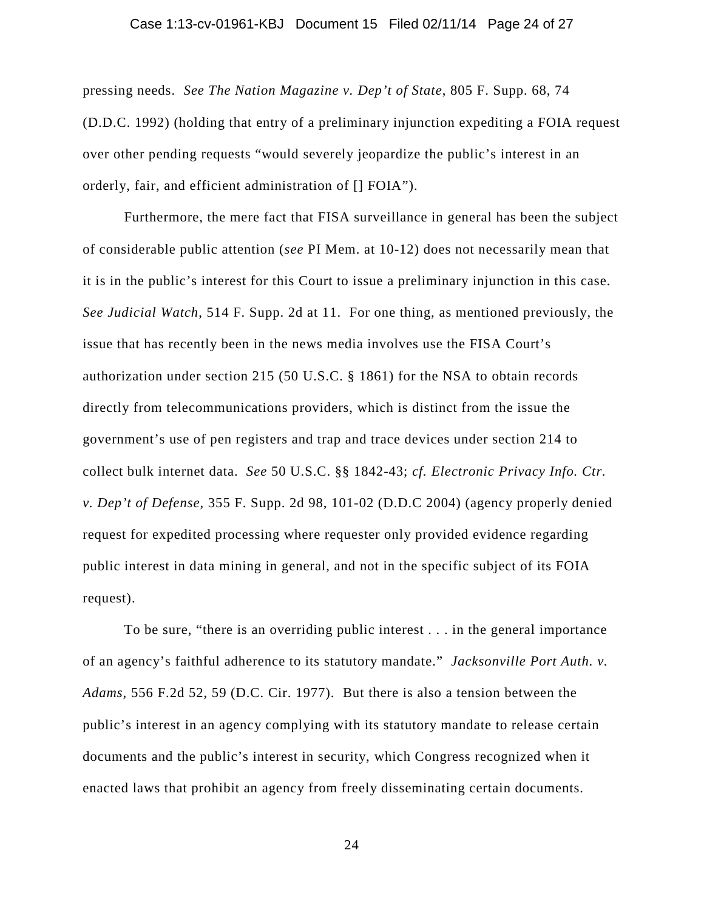### Case 1:13-cv-01961-KBJ Document 15 Filed 02/11/14 Page 24 of 27

pressing needs. *See The Nation Magazine v. Dep't of State*, 805 F. Supp. 68, 74 (D.D.C. 1992) (holding that entry of a preliminary injunction expediting a FOIA request over other pending requests "would severely jeopardize the public's interest in an orderly, fair, and efficient administration of [] FOIA").

Furthermore, the mere fact that FISA surveillance in general has been the subject of considerable public attention (*see* PI Mem. at 10-12) does not necessarily mean that it is in the public's interest for this Court to issue a preliminary injunction in this case. *See Judicial Watch*, 514 F. Supp. 2d at 11. For one thing, as mentioned previously, the issue that has recently been in the news media involves use the FISA Court's authorization under section 215 (50 U.S.C. § 1861) for the NSA to obtain records directly from telecommunications providers, which is distinct from the issue the government's use of pen registers and trap and trace devices under section 214 to collect bulk internet data. *See* 50 U.S.C. §§ 1842-43; *cf. Electronic Privacy Info. Ctr. v. Dep't of Defense*, 355 F. Supp. 2d 98, 101-02 (D.D.C 2004) (agency properly denied request for expedited processing where requester only provided evidence regarding public interest in data mining in general, and not in the specific subject of its FOIA request).

To be sure, "there is an overriding public interest . . . in the general importance of an agency's faithful adherence to its statutory mandate." *Jacksonville Port Auth. v. Adams*, 556 F.2d 52, 59 (D.C. Cir. 1977). But there is also a tension between the public's interest in an agency complying with its statutory mandate to release certain documents and the public's interest in security, which Congress recognized when it enacted laws that prohibit an agency from freely disseminating certain documents.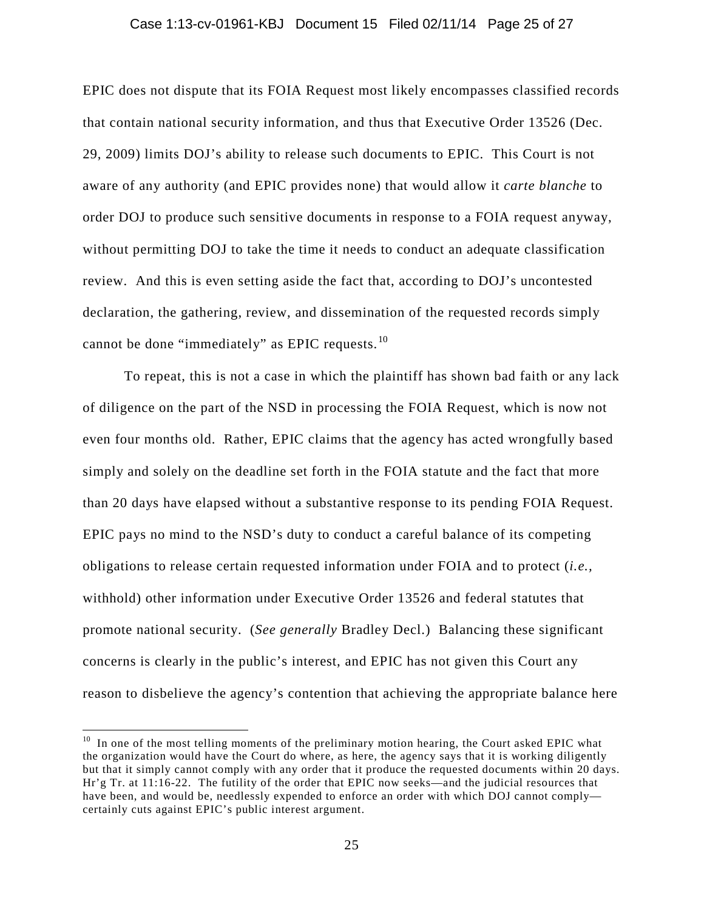#### Case 1:13-cv-01961-KBJ Document 15 Filed 02/11/14 Page 25 of 27

EPIC does not dispute that its FOIA Request most likely encompasses classified records that contain national security information, and thus that Executive Order 13526 (Dec. 29, 2009) limits DOJ's ability to release such documents to EPIC. This Court is not aware of any authority (and EPIC provides none) that would allow it *carte blanche* to order DOJ to produce such sensitive documents in response to a FOIA request anyway, without permitting DOJ to take the time it needs to conduct an adequate classification review. And this is even setting aside the fact that, according to DOJ's uncontested declaration, the gathering, review, and dissemination of the requested records simply cannot be done "immediately" as EPIC requests. [10](#page-24-0)

To repeat, this is not a case in which the plaintiff has shown bad faith or any lack of diligence on the part of the NSD in processing the FOIA Request, which is now not even four months old. Rather, EPIC claims that the agency has acted wrongfully based simply and solely on the deadline set forth in the FOIA statute and the fact that more than 20 days have elapsed without a substantive response to its pending FOIA Request. EPIC pays no mind to the NSD's duty to conduct a careful balance of its competing obligations to release certain requested information under FOIA and to protect (*i.e.,* withhold) other information under Executive Order 13526 and federal statutes that promote national security. (*See generally* Bradley Decl.) Balancing these significant concerns is clearly in the public's interest, and EPIC has not given this Court any reason to disbelieve the agency's contention that achieving the appropriate balance here

<span id="page-24-0"></span> $10$  In one of the most telling moments of the preliminary motion hearing, the Court asked EPIC what the organization would have the Court do where, as here, the agency says that it is working diligently but that it simply cannot comply with any order that it produce the requested documents within 20 days. Hr'g Tr. at 11:16-22. The futility of the order that EPIC now seeks—and the judicial resources that have been, and would be, needlessly expended to enforce an order with which DOJ cannot comply certainly cuts against EPIC's public interest argument.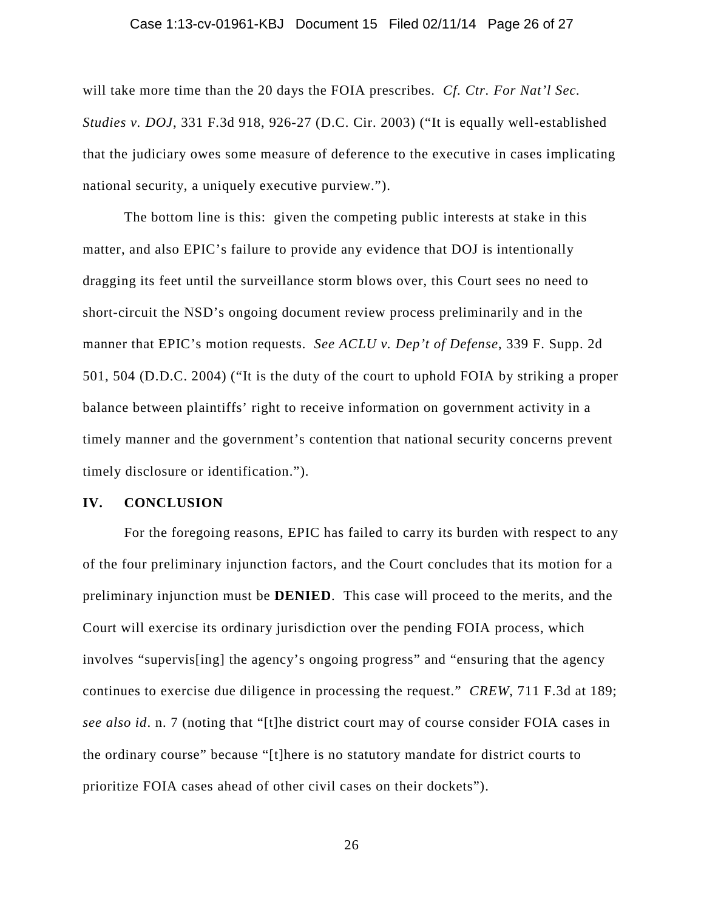### Case 1:13-cv-01961-KBJ Document 15 Filed 02/11/14 Page 26 of 27

will take more time than the 20 days the FOIA prescribes. *Cf. Ctr. For Nat'l Sec. Studies v. DOJ*, 331 F.3d 918, 926-27 (D.C. Cir. 2003) ("It is equally well-established that the judiciary owes some measure of deference to the executive in cases implicating national security, a uniquely executive purview.").

The bottom line is this: given the competing public interests at stake in this matter, and also EPIC's failure to provide any evidence that DOJ is intentionally dragging its feet until the surveillance storm blows over, this Court sees no need to short-circuit the NSD's ongoing document review process preliminarily and in the manner that EPIC's motion requests. *See ACLU v. Dep't of Defense*, 339 F. Supp. 2d 501, 504 (D.D.C. 2004) ("It is the duty of the court to uphold FOIA by striking a proper balance between plaintiffs' right to receive information on government activity in a timely manner and the government's contention that national security concerns prevent timely disclosure or identification.").

# **IV. CONCLUSION**

For the foregoing reasons, EPIC has failed to carry its burden with respect to any of the four preliminary injunction factors, and the Court concludes that its motion for a preliminary injunction must be **DENIED**. This case will proceed to the merits, and the Court will exercise its ordinary jurisdiction over the pending FOIA process, which involves "supervis[ing] the agency's ongoing progress" and "ensuring that the agency continues to exercise due diligence in processing the request." *CREW*, 711 F.3d at 189; *see also id*. n. 7 (noting that "[t]he district court may of course consider FOIA cases in the ordinary course" because "[t]here is no statutory mandate for district courts to prioritize FOIA cases ahead of other civil cases on their dockets").